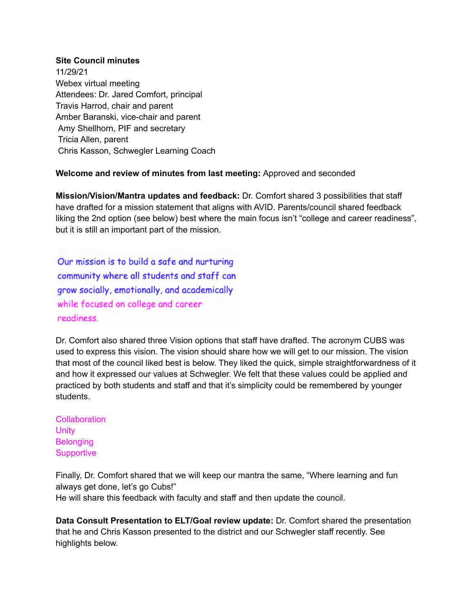## **Site Council minutes**

11/29/21 Webex virtual meeting Attendees: Dr. Jared Comfort, principal Travis Harrod, chair and parent Amber Baranski, vice-chair and parent Amy Shellhorn, PIF and secretary Tricia Allen, parent Chris Kasson, Schwegler Learning Coach

## **Welcome and review of minutes from last meeting:** Approved and seconded

**Mission/Vision/Mantra updates and feedback:** Dr. Comfort shared 3 possibilities that staff have drafted for a mission statement that aligns with AVID. Parents/council shared feedback liking the 2nd option (see below) best where the main focus isn't "college and career readiness", but it is still an important part of the mission.

Our mission is to build a safe and nurturing community where all students and staff can grow socially, emotionally, and academically while focused on college and career readiness.

Dr. Comfort also shared three Vision options that staff have drafted. The acronym CUBS was used to express this vision. The vision should share how we will get to our mission. The vision that most of the council liked best is below. They liked the quick, simple straightforwardness of it and how it expressed our values at Schwegler. We felt that these values could be applied and practiced by both students and staff and that it's simplicity could be remembered by younger students.

**Collaboration Unity Belonging Supportive** 

Finally, Dr. Comfort shared that we will keep our mantra the same, "Where learning and fun always get done, let's go Cubs!" He will share this feedback with faculty and staff and then update the council.

**Data Consult Presentation to ELT/Goal review update:** Dr. Comfort shared the presentation that he and Chris Kasson presented to the district and our Schwegler staff recently. See highlights below.